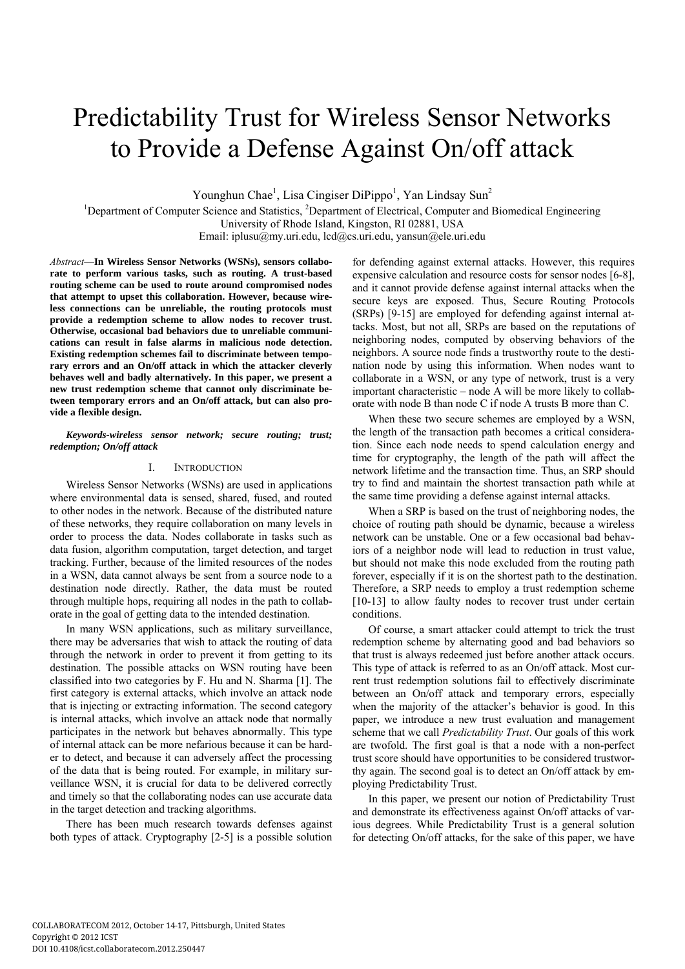# Predictability Trust for Wireless Sensor Networks to Provide a Defense Against On/off attack

Younghun Chae<sup>1</sup>, Lisa Cingiser DiPippo<sup>1</sup>, Yan Lindsay Sun<sup>2</sup>

<sup>1</sup>Department of Computer Science and Statistics, <sup>2</sup>Department of Electrical, Computer and Biomedical Engineering University of Rhode Island, Kingston, RI 02881, USA Email: iplusu@my.uri.edu, lcd@cs.uri.edu, yansun@ele.uri.edu

*Abstract*—**In Wireless Sensor Networks (WSNs), sensors collaborate to perform various tasks, such as routing. A trust-based routing scheme can be used to route around compromised nodes that attempt to upset this collaboration. However, because wireless connections can be unreliable, the routing protocols must provide a redemption scheme to allow nodes to recover trust. Otherwise, occasional bad behaviors due to unreliable communications can result in false alarms in malicious node detection. Existing redemption schemes fail to discriminate between temporary errors and an On/off attack in which the attacker cleverly behaves well and badly alternatively. In this paper, we present a new trust redemption scheme that cannot only discriminate between temporary errors and an On/off attack, but can also provide a flexible design.** 

*Keywords-wireless sensor network; secure routing; trust; redemption; On/off attack* 

## I. INTRODUCTION

Wireless Sensor Networks (WSNs) are used in applications where environmental data is sensed, shared, fused, and routed to other nodes in the network. Because of the distributed nature of these networks, they require collaboration on many levels in order to process the data. Nodes collaborate in tasks such as data fusion, algorithm computation, target detection, and target tracking. Further, because of the limited resources of the nodes in a WSN, data cannot always be sent from a source node to a destination node directly. Rather, the data must be routed through multiple hops, requiring all nodes in the path to collaborate in the goal of getting data to the intended destination.

In many WSN applications, such as military surveillance, there may be adversaries that wish to attack the routing of data through the network in order to prevent it from getting to its destination. The possible attacks on WSN routing have been classified into two categories by F. Hu and N. Sharma [1]. The first category is external attacks, which involve an attack node that is injecting or extracting information. The second category is internal attacks, which involve an attack node that normally participates in the network but behaves abnormally. This type of internal attack can be more nefarious because it can be harder to detect, and because it can adversely affect the processing of the data that is being routed. For example, in military surveillance WSN, it is crucial for data to be delivered correctly and timely so that the collaborating nodes can use accurate data in the target detection and tracking algorithms.

There has been much research towards defenses against both types of attack. Cryptography [2-5] is a possible solution

for defending against external attacks. However, this requires expensive calculation and resource costs for sensor nodes [6-8], and it cannot provide defense against internal attacks when the secure keys are exposed. Thus, Secure Routing Protocols (SRPs) [9-15] are employed for defending against internal attacks. Most, but not all, SRPs are based on the reputations of neighboring nodes, computed by observing behaviors of the neighbors. A source node finds a trustworthy route to the destination node by using this information. When nodes want to collaborate in a WSN, or any type of network, trust is a very important characteristic – node A will be more likely to collaborate with node B than node C if node A trusts B more than C.

When these two secure schemes are employed by a WSN, the length of the transaction path becomes a critical consideration. Since each node needs to spend calculation energy and time for cryptography, the length of the path will affect the network lifetime and the transaction time. Thus, an SRP should try to find and maintain the shortest transaction path while at the same time providing a defense against internal attacks.

When a SRP is based on the trust of neighboring nodes, the choice of routing path should be dynamic, because a wireless network can be unstable. One or a few occasional bad behaviors of a neighbor node will lead to reduction in trust value, but should not make this node excluded from the routing path forever, especially if it is on the shortest path to the destination. Therefore, a SRP needs to employ a trust redemption scheme [10-13] to allow faulty nodes to recover trust under certain conditions.

Of course, a smart attacker could attempt to trick the trust redemption scheme by alternating good and bad behaviors so that trust is always redeemed just before another attack occurs. This type of attack is referred to as an On/off attack. Most current trust redemption solutions fail to effectively discriminate between an On/off attack and temporary errors, especially when the majority of the attacker's behavior is good. In this paper, we introduce a new trust evaluation and management scheme that we call *Predictability Trust*. Our goals of this work are twofold. The first goal is that a node with a non-perfect trust score should have opportunities to be considered trustworthy again. The second goal is to detect an On/off attack by employing Predictability Trust.

In this paper, we present our notion of Predictability Trust and demonstrate its effectiveness against On/off attacks of various degrees. While Predictability Trust is a general solution for detecting On/off attacks, for the sake of this paper, we have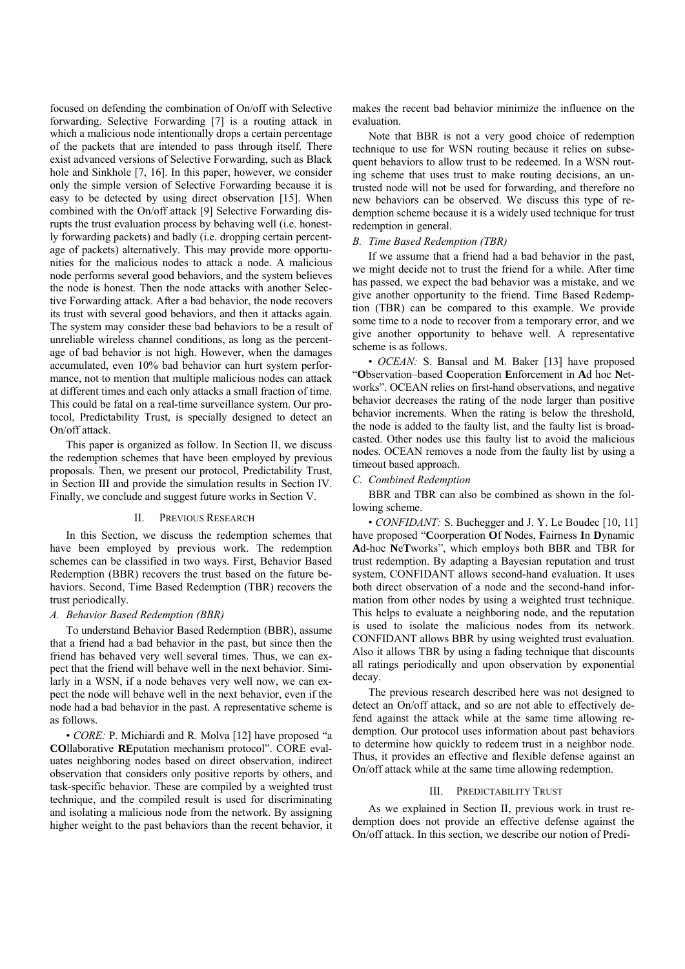focused on defending the combination of On/off with Selective forwarding. Selective Forwarding [7] is a routing attack in which a malicious node intentionally drops a certain percentage of the packets that are intended to pass through itself. There exist advanced versions of Selective Forwarding, such as Black hole and Sinkhole [7, 16]. In this paper, however, we consider only the simple version of Selective Forwarding because it is easy to be detected by using direct observation [15]. When combined with the On/off attack [9] Selective Forwarding disrupts the trust evaluation process by behaving well (i.e. honestly forwarding packets) and badly (i.e. dropping certain percentage of packets) alternatively. This may provide more opportunities for the malicious nodes to attack a node. A malicious node performs several good behaviors, and the system believes the node is honest. Then the node attacks with another Selective Forwarding attack. After a bad behavior, the node recovers its trust with several good behaviors, and then it attacks again. The system may consider these bad behaviors to be a result of unreliable wireless channel conditions, as long as the percentage of bad behavior is not high. However, when the damages accumulated, even 10% bad behavior can hurt system performance, not to mention that multiple malicious nodes can attack at different times and each only attacks a small fraction of time. This could be fatal on a real-time surveillance system. Our protocol, Predictability Trust, is specially designed to detect an On/off attack.

This paper is organized as follow. In Section II, we discuss the redemption schemes that have been employed by previous proposals. Then, we present our protocol, Predictability Trust, in Section III and provide the simulation results in Section IV. Finally, we conclude and suggest future works in Section V.

## II. PREVIOUS RESEARCH

In this Section, we discuss the redemption schemes that have been employed by previous work. The redemption schemes can be classified in two ways. First, Behavior Based Redemption (BBR) recovers the trust based on the future behaviors. Second, Time Based Redemption (TBR) recovers the trust periodically.

### *A. Behavior Based Redemption (BBR)*

To understand Behavior Based Redemption (BBR), assume that a friend had a bad behavior in the past, but since then the friend has behaved very well several times. Thus, we can expect that the friend will behave well in the next behavior. Similarly in a WSN, if a node behaves very well now, we can expect the node will behave well in the next behavior, even if the node had a bad behavior in the past. A representative scheme is as follows.

• *CORE:* P. Michiardi and R. Molva [12] have proposed "a **CO**llaborative **RE**putation mechanism protocol". CORE evaluates neighboring nodes based on direct observation, indirect observation that considers only positive reports by others, and task-specific behavior. These are compiled by a weighted trust technique, and the compiled result is used for discriminating and isolating a malicious node from the network. By assigning higher weight to the past behaviors than the recent behavior, it

makes the recent bad behavior minimize the influence on the evaluation.

Note that BBR is not a very good choice of redemption technique to use for WSN routing because it relies on subsequent behaviors to allow trust to be redeemed. In a WSN routing scheme that uses trust to make routing decisions, an untrusted node will not be used for forwarding, and therefore no new behaviors can be observed. We discuss this type of redemption scheme because it is a widely used technique for trust redemption in general.

#### *B. Time Based Redemption (TBR)*

If we assume that a friend had a bad behavior in the past, we might decide not to trust the friend for a while. After time has passed, we expect the bad behavior was a mistake, and we give another opportunity to the friend. Time Based Redemption (TBR) can be compared to this example. We provide some time to a node to recover from a temporary error, and we give another opportunity to behave well. A representative scheme is as follows.

• *OCEAN*: S. Bansal and M. Baker [13] have proposed "**O**bservation–based **C**ooperation **E**nforcement in **A**d hoc **N**etworks". OCEAN relies on first-hand observations, and negative behavior decreases the rating of the node larger than positive behavior increments. When the rating is below the threshold, the node is added to the faulty list, and the faulty list is broadcasted. Other nodes use this faulty list to avoid the malicious nodes. OCEAN removes a node from the faulty list by using a timeout based approach.

# *C. Combined Redemption*

BBR and TBR can also be combined as shown in the following scheme.

• *CONFIDANT*: S. Buchegger and J. Y. Le Boudec [10, 11] have proposed "**C**oorperation **O**f **N**odes, **F**airness **I**n **D**ynamic **A**d-hoc **N**e**T**works", which employs both BBR and TBR for trust redemption. By adapting a Bayesian reputation and trust system, CONFIDANT allows second-hand evaluation. It uses both direct observation of a node and the second-hand information from other nodes by using a weighted trust technique. This helps to evaluate a neighboring node, and the reputation is used to isolate the malicious nodes from its network. CONFIDANT allows BBR by using weighted trust evaluation. Also it allows TBR by using a fading technique that discounts all ratings periodically and upon observation by exponential decay.

The previous research described here was not designed to detect an On/off attack, and so are not able to effectively defend against the attack while at the same time allowing redemption. Our protocol uses information about past behaviors to determine how quickly to redeem trust in a neighbor node. Thus, it provides an effective and flexible defense against an On/off attack while at the same time allowing redemption.

# III. PREDICTABILITY TRUST

As we explained in Section II, previous work in trust redemption does not provide an effective defense against the On/off attack. In this section, we describe our notion of Predi-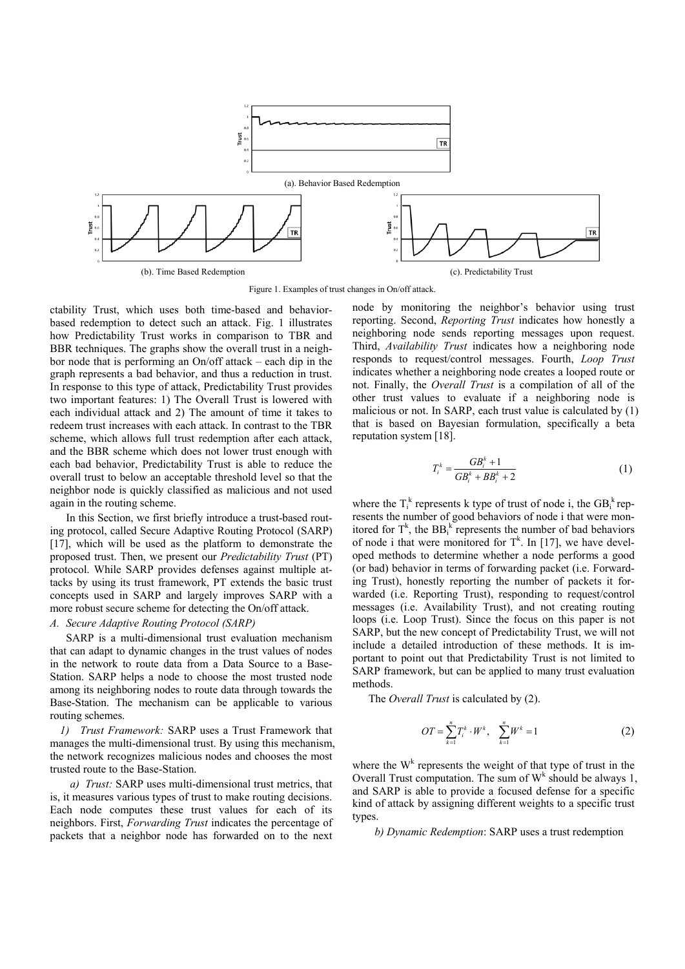

Figure 1. Examples of trust changes in On/off attack.

ctability Trust, which uses both time-based and behaviorbased redemption to detect such an attack. Fig. 1 illustrates how Predictability Trust works in comparison to TBR and BBR techniques. The graphs show the overall trust in a neighbor node that is performing an On/off attack – each dip in the graph represents a bad behavior, and thus a reduction in trust. In response to this type of attack, Predictability Trust provides two important features: 1) The Overall Trust is lowered with each individual attack and 2) The amount of time it takes to redeem trust increases with each attack. In contrast to the TBR scheme, which allows full trust redemption after each attack, and the BBR scheme which does not lower trust enough with each bad behavior, Predictability Trust is able to reduce the overall trust to below an acceptable threshold level so that the neighbor node is quickly classified as malicious and not used again in the routing scheme.

In this Section, we first briefly introduce a trust-based routing protocol, called Secure Adaptive Routing Protocol (SARP) [17], which will be used as the platform to demonstrate the proposed trust. Then, we present our *Predictability Trust* (PT) protocol. While SARP provides defenses against multiple attacks by using its trust framework, PT extends the basic trust concepts used in SARP and largely improves SARP with a more robust secure scheme for detecting the On/off attack.

# *A. Secure Adaptive Routing Protocol (SARP)*

SARP is a multi-dimensional trust evaluation mechanism that can adapt to dynamic changes in the trust values of nodes in the network to route data from a Data Source to a Base-Station. SARP helps a node to choose the most trusted node among its neighboring nodes to route data through towards the Base-Station. The mechanism can be applicable to various routing schemes.

*1) Trust Framework:* SARP uses a Trust Framework that manages the multi-dimensional trust. By using this mechanism, the network recognizes malicious nodes and chooses the most trusted route to the Base-Station.

*a) Trust:* SARP uses multi-dimensional trust metrics, that is, it measures various types of trust to make routing decisions. Each node computes these trust values for each of its neighbors. First, *Forwarding Trust* indicates the percentage of packets that a neighbor node has forwarded on to the next node by monitoring the neighbor's behavior using trust reporting. Second, *Reporting Trust* indicates how honestly a neighboring node sends reporting messages upon request. Third, *Availability Trust* indicates how a neighboring node responds to request/control messages. Fourth, *Loop Trust* indicates whether a neighboring node creates a looped route or not. Finally, the *Overall Trust* is a compilation of all of the other trust values to evaluate if a neighboring node is malicious or not. In SARP, each trust value is calculated by (1) that is based on Bayesian formulation, specifically a beta reputation system [18].

$$
T_i^k = \frac{GB_i^k + 1}{GB_i^k + BB_i^k + 2}
$$
 (1)

where the  $T_i^k$  represents k type of trust of node i, the  $GB_i^k$  represents the number of good behaviors of node i that were monitored for  $T^k$ , the  $BB_i^k$  represents the number of bad behaviors of node i that were monitored for  $T^k$ . In [17], we have developed methods to determine whether a node performs a good (or bad) behavior in terms of forwarding packet (i.e. Forwarding Trust), honestly reporting the number of packets it forwarded (i.e. Reporting Trust), responding to request/control messages (i.e. Availability Trust), and not creating routing loops (i.e. Loop Trust). Since the focus on this paper is not SARP, but the new concept of Predictability Trust, we will not include a detailed introduction of these methods. It is important to point out that Predictability Trust is not limited to SARP framework, but can be applied to many trust evaluation methods.

The *Overall Trust* is calculated by (2).

$$
OT = \sum_{k=1}^{n} T_i^k \cdot W^k, \quad \sum_{k=1}^{n} W^k = 1
$$
 (2)

where the  $W^k$  represents the weight of that type of trust in the Overall Trust computation. The sum of  $W^k$  should be always 1, and SARP is able to provide a focused defense for a specific kind of attack by assigning different weights to a specific trust types.

*b) Dynamic Redemption*: SARP uses a trust redemption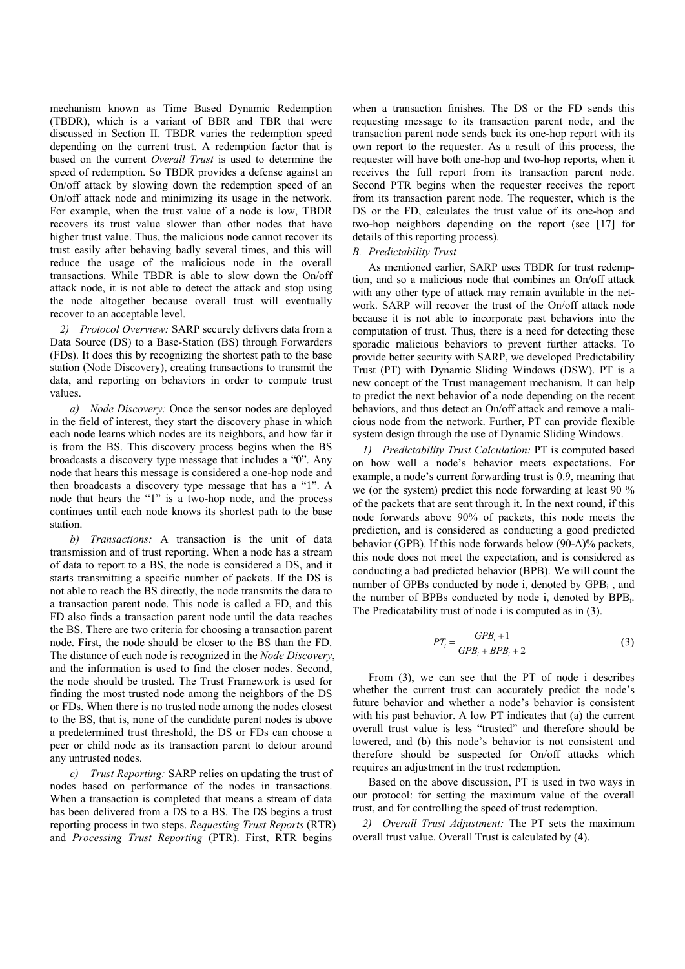mechanism known as Time Based Dynamic Redemption (TBDR), which is a variant of BBR and TBR that were discussed in Section II. TBDR varies the redemption speed depending on the current trust. A redemption factor that is based on the current *Overall Trust* is used to determine the speed of redemption. So TBDR provides a defense against an On/off attack by slowing down the redemption speed of an On/off attack node and minimizing its usage in the network. For example, when the trust value of a node is low, TBDR recovers its trust value slower than other nodes that have higher trust value. Thus, the malicious node cannot recover its trust easily after behaving badly several times, and this will reduce the usage of the malicious node in the overall transactions. While TBDR is able to slow down the On/off attack node, it is not able to detect the attack and stop using the node altogether because overall trust will eventually recover to an acceptable level.

*2) Protocol Overview:* SARP securely delivers data from a Data Source (DS) to a Base-Station (BS) through Forwarders (FDs). It does this by recognizing the shortest path to the base station (Node Discovery), creating transactions to transmit the data, and reporting on behaviors in order to compute trust values.

*a) Node Discovery:* Once the sensor nodes are deployed in the field of interest, they start the discovery phase in which each node learns which nodes are its neighbors, and how far it is from the BS. This discovery process begins when the BS broadcasts a discovery type message that includes a "0". Any node that hears this message is considered a one-hop node and then broadcasts a discovery type message that has a "1". A node that hears the "1" is a two-hop node, and the process continues until each node knows its shortest path to the base station.

*b) Transactions:* A transaction is the unit of data transmission and of trust reporting. When a node has a stream of data to report to a BS, the node is considered a DS, and it starts transmitting a specific number of packets. If the DS is not able to reach the BS directly, the node transmits the data to a transaction parent node. This node is called a FD, and this FD also finds a transaction parent node until the data reaches the BS. There are two criteria for choosing a transaction parent node. First, the node should be closer to the BS than the FD. The distance of each node is recognized in the *Node Discovery*, and the information is used to find the closer nodes. Second, the node should be trusted. The Trust Framework is used for finding the most trusted node among the neighbors of the DS or FDs. When there is no trusted node among the nodes closest to the BS, that is, none of the candidate parent nodes is above a predetermined trust threshold, the DS or FDs can choose a peer or child node as its transaction parent to detour around any untrusted nodes.

*c) Trust Reporting:* SARP relies on updating the trust of nodes based on performance of the nodes in transactions. When a transaction is completed that means a stream of data has been delivered from a DS to a BS. The DS begins a trust reporting process in two steps. *Requesting Trust Reports* (RTR) and *Processing Trust Reporting* (PTR). First, RTR begins

when a transaction finishes. The DS or the FD sends this requesting message to its transaction parent node, and the transaction parent node sends back its one-hop report with its own report to the requester. As a result of this process, the requester will have both one-hop and two-hop reports, when it receives the full report from its transaction parent node. Second PTR begins when the requester receives the report from its transaction parent node. The requester, which is the DS or the FD, calculates the trust value of its one-hop and two-hop neighbors depending on the report (see [17] for details of this reporting process).

## *B. Predictability Trust*

As mentioned earlier, SARP uses TBDR for trust redemption, and so a malicious node that combines an On/off attack with any other type of attack may remain available in the network. SARP will recover the trust of the On/off attack node because it is not able to incorporate past behaviors into the computation of trust. Thus, there is a need for detecting these sporadic malicious behaviors to prevent further attacks. To provide better security with SARP, we developed Predictability Trust (PT) with Dynamic Sliding Windows (DSW). PT is a new concept of the Trust management mechanism. It can help to predict the next behavior of a node depending on the recent behaviors, and thus detect an On/off attack and remove a malicious node from the network. Further, PT can provide flexible system design through the use of Dynamic Sliding Windows.

*1) Predictability Trust Calculation:* PT is computed based on how well a node's behavior meets expectations. For example, a node's current forwarding trust is 0.9, meaning that we (or the system) predict this node forwarding at least 90 % of the packets that are sent through it. In the next round, if this node forwards above 90% of packets, this node meets the prediction, and is considered as conducting a good predicted behavior (GPB). If this node forwards below  $(90-\Delta)\%$  packets, this node does not meet the expectation, and is considered as conducting a bad predicted behavior (BPB). We will count the number of GPBs conducted by node i, denoted by GPBi , and the number of BPBs conducted by node i, denoted by BPBi. The Predicatability trust of node i is computed as in (3).

$$
PT_i = \frac{GPB_i + 1}{GPB_i + BPB_i + 2} \tag{3}
$$

From (3), we can see that the PT of node i describes whether the current trust can accurately predict the node's future behavior and whether a node's behavior is consistent with his past behavior. A low PT indicates that (a) the current overall trust value is less "trusted" and therefore should be lowered, and (b) this node's behavior is not consistent and therefore should be suspected for On/off attacks which requires an adjustment in the trust redemption.

Based on the above discussion, PT is used in two ways in our protocol: for setting the maximum value of the overall trust, and for controlling the speed of trust redemption.

*2) Overall Trust Adjustment:* The PT sets the maximum overall trust value. Overall Trust is calculated by (4).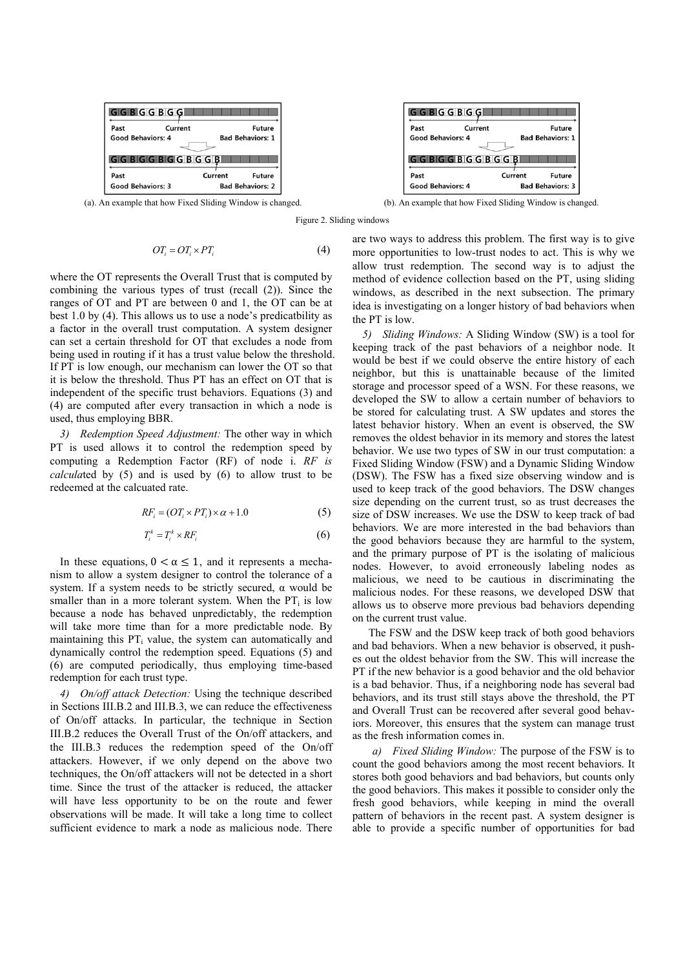

$$
OT_i = OT_i \times PT_i \tag{4}
$$

where the OT represents the Overall Trust that is computed by combining the various types of trust (recall (2)). Since the ranges of OT and PT are between 0 and 1, the OT can be at best 1.0 by (4). This allows us to use a node's predicatbility as a factor in the overall trust computation. A system designer can set a certain threshold for OT that excludes a node from being used in routing if it has a trust value below the threshold. If PT is low enough, our mechanism can lower the OT so that it is below the threshold. Thus PT has an effect on OT that is independent of the specific trust behaviors. Equations (3) and (4) are computed after every transaction in which a node is used, thus employing BBR.

*3) Redemption Speed Adjustment:* The other way in which PT is used allows it to control the redemption speed by computing a Redemption Factor (RF) of node i. *RF is calcula*ted by (5) and is used by (6) to allow trust to be redeemed at the calcuated rate.

$$
RF_i = (OT_i \times PT_i) \times \alpha + 1.0 \tag{5}
$$

$$
T_i^k = T_i^k \times RF_i \tag{6}
$$

In these equations,  $0 < \alpha \leq 1$ , and it represents a mechanism to allow a system designer to control the tolerance of a system. If a system needs to be strictly secured, α would be smaller than in a more tolerant system. When the  $PT_i$  is low because a node has behaved unpredictably, the redemption will take more time than for a more predictable node. By maintaining this  $PT_i$  value, the system can automatically and dynamically control the redemption speed. Equations (5) and (6) are computed periodically, thus employing time-based redemption for each trust type.

*4) On/off attack Detection:* Using the technique described in Sections III.B.2 and III.B.3, we can reduce the effectiveness of On/off attacks. In particular, the technique in Section III.B.2 reduces the Overall Trust of the On/off attackers, and the III.B.3 reduces the redemption speed of the On/off attackers. However, if we only depend on the above two techniques, the On/off attackers will not be detected in a short time. Since the trust of the attacker is reduced, the attacker will have less opportunity to be on the route and fewer observations will be made. It will take a long time to collect sufficient evidence to mark a node as malicious node. There



(a). An example that how Fixed Sliding Window is changed. (b). An example that how Fixed Sliding Window is changed.

Figure 2. Sliding windows

are two ways to address this problem. The first way is to give more opportunities to low-trust nodes to act. This is why we allow trust redemption. The second way is to adjust the method of evidence collection based on the PT, using sliding windows, as described in the next subsection. The primary idea is investigating on a longer history of bad behaviors when the PT is low.

*5) Sliding Windows:* A Sliding Window (SW) is a tool for keeping track of the past behaviors of a neighbor node. It would be best if we could observe the entire history of each neighbor, but this is unattainable because of the limited storage and processor speed of a WSN. For these reasons, we developed the SW to allow a certain number of behaviors to be stored for calculating trust. A SW updates and stores the latest behavior history. When an event is observed, the SW removes the oldest behavior in its memory and stores the latest behavior. We use two types of SW in our trust computation: a Fixed Sliding Window (FSW) and a Dynamic Sliding Window (DSW). The FSW has a fixed size observing window and is used to keep track of the good behaviors. The DSW changes size depending on the current trust, so as trust decreases the size of DSW increases. We use the DSW to keep track of bad behaviors. We are more interested in the bad behaviors than the good behaviors because they are harmful to the system, and the primary purpose of PT is the isolating of malicious nodes. However, to avoid erroneously labeling nodes as malicious, we need to be cautious in discriminating the malicious nodes. For these reasons, we developed DSW that allows us to observe more previous bad behaviors depending on the current trust value.

The FSW and the DSW keep track of both good behaviors and bad behaviors. When a new behavior is observed, it pushes out the oldest behavior from the SW. This will increase the PT if the new behavior is a good behavior and the old behavior is a bad behavior. Thus, if a neighboring node has several bad behaviors, and its trust still stays above the threshold, the PT and Overall Trust can be recovered after several good behaviors. Moreover, this ensures that the system can manage trust as the fresh information comes in.

*a) Fixed Sliding Window:* The purpose of the FSW is to count the good behaviors among the most recent behaviors. It stores both good behaviors and bad behaviors, but counts only the good behaviors. This makes it possible to consider only the fresh good behaviors, while keeping in mind the overall pattern of behaviors in the recent past. A system designer is able to provide a specific number of opportunities for bad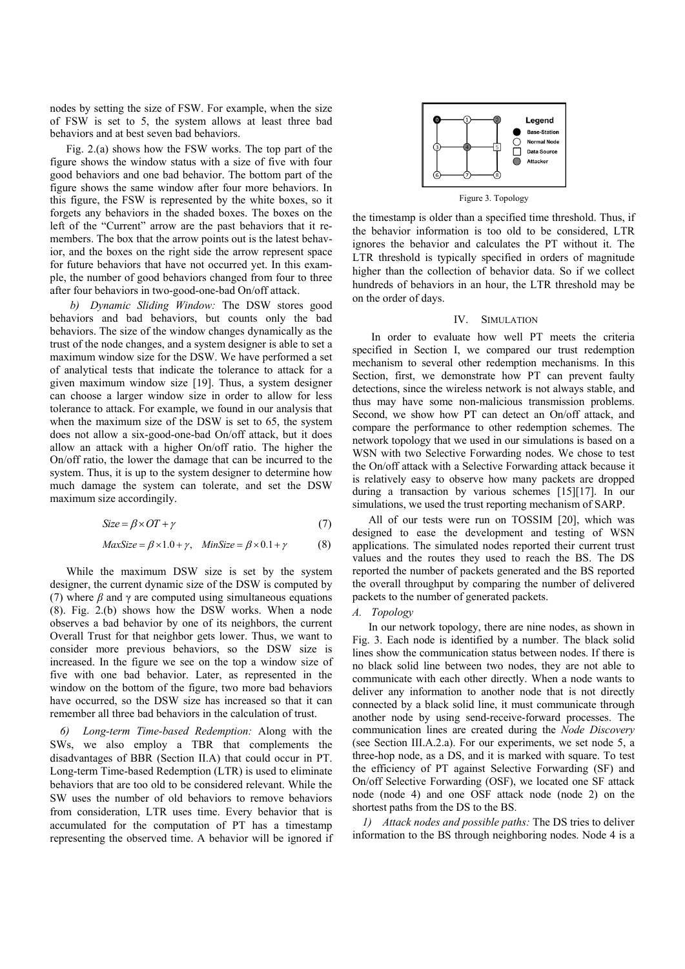nodes by setting the size of FSW. For example, when the size of FSW is set to 5, the system allows at least three bad behaviors and at best seven bad behaviors.

Fig. 2.(a) shows how the FSW works. The top part of the figure shows the window status with a size of five with four good behaviors and one bad behavior. The bottom part of the figure shows the same window after four more behaviors. In this figure, the FSW is represented by the white boxes, so it forgets any behaviors in the shaded boxes. The boxes on the left of the "Current" arrow are the past behaviors that it remembers. The box that the arrow points out is the latest behavior, and the boxes on the right side the arrow represent space for future behaviors that have not occurred yet. In this example, the number of good behaviors changed from four to three after four behaviors in two-good-one-bad On/off attack.

*b) Dynamic Sliding Window:* The DSW stores good behaviors and bad behaviors, but counts only the bad behaviors. The size of the window changes dynamically as the trust of the node changes, and a system designer is able to set a maximum window size for the DSW. We have performed a set of analytical tests that indicate the tolerance to attack for a given maximum window size [19]. Thus, a system designer can choose a larger window size in order to allow for less tolerance to attack. For example, we found in our analysis that when the maximum size of the DSW is set to 65, the system does not allow a six-good-one-bad On/off attack, but it does allow an attack with a higher On/off ratio. The higher the On/off ratio, the lower the damage that can be incurred to the system. Thus, it is up to the system designer to determine how much damage the system can tolerate, and set the DSW maximum size accordingily.

$$
Size = \beta \times OT + \gamma \tag{7}
$$

$$
MaxSize = \beta \times 1.0 + \gamma, \quad MinSize = \beta \times 0.1 + \gamma \tag{8}
$$

While the maximum DSW size is set by the system designer, the current dynamic size of the DSW is computed by (7) where  $\beta$  and  $\gamma$  are computed using simultaneous equations (8). Fig. 2.(b) shows how the DSW works. When a node observes a bad behavior by one of its neighbors, the current Overall Trust for that neighbor gets lower. Thus, we want to consider more previous behaviors, so the DSW size is increased. In the figure we see on the top a window size of five with one bad behavior. Later, as represented in the window on the bottom of the figure, two more bad behaviors have occurred, so the DSW size has increased so that it can remember all three bad behaviors in the calculation of trust.

*6) Long-term Time-based Redemption:* Along with the SWs, we also employ a TBR that complements the disadvantages of BBR (Section II.A) that could occur in PT. Long-term Time-based Redemption (LTR) is used to eliminate behaviors that are too old to be considered relevant. While the SW uses the number of old behaviors to remove behaviors from consideration, LTR uses time. Every behavior that is accumulated for the computation of PT has a timestamp representing the observed time. A behavior will be ignored if



Figure 3. Topology

the timestamp is older than a specified time threshold. Thus, if the behavior information is too old to be considered, LTR ignores the behavior and calculates the PT without it. The LTR threshold is typically specified in orders of magnitude higher than the collection of behavior data. So if we collect hundreds of behaviors in an hour, the LTR threshold may be on the order of days.

# IV. SIMULATION

 In order to evaluate how well PT meets the criteria specified in Section I, we compared our trust redemption mechanism to several other redemption mechanisms. In this Section, first, we demonstrate how PT can prevent faulty detections, since the wireless network is not always stable, and thus may have some non-malicious transmission problems. Second, we show how PT can detect an On/off attack, and compare the performance to other redemption schemes. The network topology that we used in our simulations is based on a WSN with two Selective Forwarding nodes. We chose to test the On/off attack with a Selective Forwarding attack because it is relatively easy to observe how many packets are dropped during a transaction by various schemes [15][17]. In our simulations, we used the trust reporting mechanism of SARP.

All of our tests were run on TOSSIM [20], which was designed to ease the development and testing of WSN applications. The simulated nodes reported their current trust values and the routes they used to reach the BS. The DS reported the number of packets generated and the BS reported the overall throughput by comparing the number of delivered packets to the number of generated packets.

#### *A. Topology*

In our network topology, there are nine nodes, as shown in Fig. 3. Each node is identified by a number. The black solid lines show the communication status between nodes. If there is no black solid line between two nodes, they are not able to communicate with each other directly. When a node wants to deliver any information to another node that is not directly connected by a black solid line, it must communicate through another node by using send-receive-forward processes. The communication lines are created during the *Node Discovery* (see Section III.A.2.a). For our experiments, we set node 5, a three-hop node, as a DS, and it is marked with square. To test the efficiency of PT against Selective Forwarding (SF) and On/off Selective Forwarding (OSF), we located one SF attack node (node 4) and one OSF attack node (node 2) on the shortest paths from the DS to the BS.

*1) Attack nodes and possible paths:* The DS tries to deliver information to the BS through neighboring nodes. Node 4 is a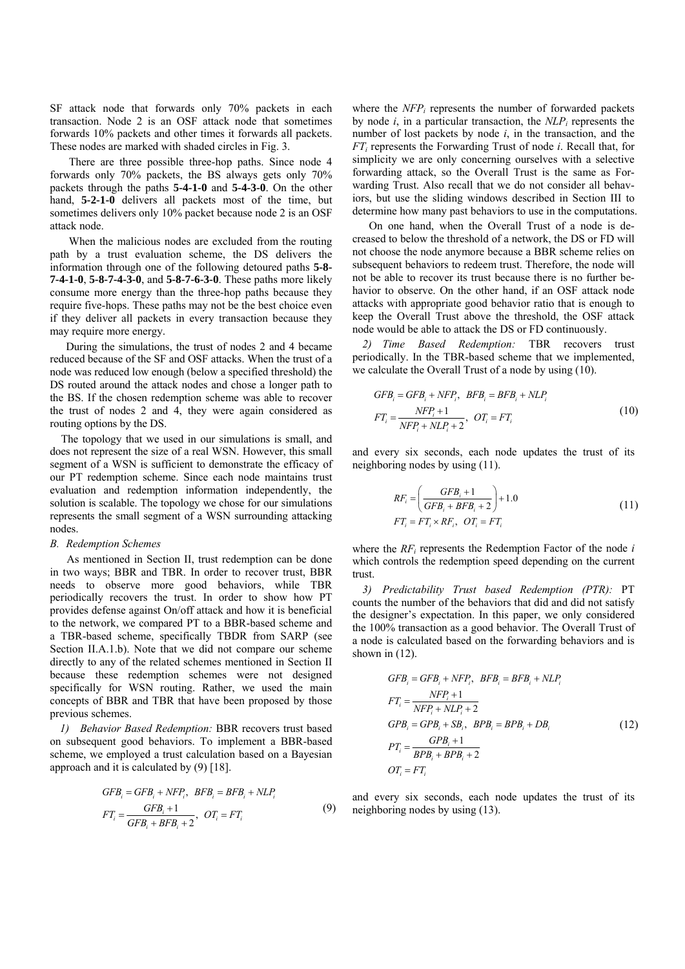SF attack node that forwards only 70% packets in each transaction. Node 2 is an OSF attack node that sometimes forwards 10% packets and other times it forwards all packets. These nodes are marked with shaded circles in Fig. 3.

 There are three possible three-hop paths. Since node 4 forwards only 70% packets, the BS always gets only 70% packets through the paths **5-4-1-0** and **5-4-3-0**. On the other hand, **5-2-1-0** delivers all packets most of the time, but sometimes delivers only 10% packet because node 2 is an OSF attack node.

 When the malicious nodes are excluded from the routing path by a trust evaluation scheme, the DS delivers the information through one of the following detoured paths **5-8- 7-4-1-0**, **5-8-7-4-3-0**, and **5-8-7-6-3-0**. These paths more likely consume more energy than the three-hop paths because they require five-hops. These paths may not be the best choice even if they deliver all packets in every transaction because they may require more energy.

During the simulations, the trust of nodes 2 and 4 became reduced because of the SF and OSF attacks. When the trust of a node was reduced low enough (below a specified threshold) the DS routed around the attack nodes and chose a longer path to the BS. If the chosen redemption scheme was able to recover the trust of nodes 2 and 4, they were again considered as routing options by the DS.

The topology that we used in our simulations is small, and does not represent the size of a real WSN. However, this small segment of a WSN is sufficient to demonstrate the efficacy of our PT redemption scheme. Since each node maintains trust evaluation and redemption information independently, the solution is scalable. The topology we chose for our simulations represents the small segment of a WSN surrounding attacking nodes.

#### *B. Redemption Schemes*

As mentioned in Section II, trust redemption can be done in two ways; BBR and TBR. In order to recover trust, BBR needs to observe more good behaviors, while TBR periodically recovers the trust. In order to show how PT provides defense against On/off attack and how it is beneficial to the network, we compared PT to a BBR-based scheme and a TBR-based scheme, specifically TBDR from SARP (see Section II.A.1.b). Note that we did not compare our scheme directly to any of the related schemes mentioned in Section II because these redemption schemes were not designed specifically for WSN routing. Rather, we used the main concepts of BBR and TBR that have been proposed by those previous schemes.

*1) Behavior Based Redemption:* BBR recovers trust based on subsequent good behaviors. To implement a BBR-based scheme, we employed a trust calculation based on a Bayesian approach and it is calculated by (9) [18].

$$
GFBi = GFBi + NFPi, BFBi = BFBi + NLPi
$$
  
\n
$$
FTi = \frac{GFBi + 1}{GFBi + BFBi + 2}, OTi = FTi
$$
 (9)

where the *NFP<sub>i</sub>* represents the number of forwarded packets by node  $i$ , in a particular transaction, the  $NLP_i$  represents the number of lost packets by node *i*, in the transaction, and the *FT<sub>i</sub>* represents the Forwarding Trust of node *i*. Recall that, for simplicity we are only concerning ourselves with a selective forwarding attack, so the Overall Trust is the same as Forwarding Trust. Also recall that we do not consider all behaviors, but use the sliding windows described in Section III to determine how many past behaviors to use in the computations.

On one hand, when the Overall Trust of a node is decreased to below the threshold of a network, the DS or FD will not choose the node anymore because a BBR scheme relies on subsequent behaviors to redeem trust. Therefore, the node will not be able to recover its trust because there is no further behavior to observe. On the other hand, if an OSF attack node attacks with appropriate good behavior ratio that is enough to keep the Overall Trust above the threshold, the OSF attack node would be able to attack the DS or FD continuously.

*2) Time Based Redemption:* TBR recovers trust periodically. In the TBR-based scheme that we implemented, we calculate the Overall Trust of a node by using (10).

$$
GFBi = GFBi + NFPi, BFBi = BFBi + NLPi
$$
  
\n
$$
FTi = \frac{NFPi + 1}{NFPi + NLPi + 2}, OTi = FTi
$$
\n(10)

and every six seconds, each node updates the trust of its neighboring nodes by using (11).

$$
RF_i = \left(\frac{GFB_i + 1}{GFB_i + BFB_i + 2}\right) + 1.0\tag{11}
$$
\n
$$
FT_i = FT_i \times RF_i, \ \ OT_i = FT_i
$$

where the *RFi* represents the Redemption Factor of the node *i* which controls the redemption speed depending on the current trust.

*3) Predictability Trust based Redemption (PTR):* PT counts the number of the behaviors that did and did not satisfy the designer's expectation. In this paper, we only considered the 100% transaction as a good behavior. The Overall Trust of a node is calculated based on the forwarding behaviors and is shown in (12).

$$
GFB_i = GFB_i + NFP_i, \quad BFB_i = BFB_i + NLP_i
$$
  
\n
$$
FT_i = \frac{NFP_i + 1}{NFP_i + NLP_i + 2}
$$
  
\n
$$
GPB_i = GPB_i + SB_i, \quad BPB_i = BPB_i + DB_i
$$
  
\n
$$
PT_i = \frac{GPB_i + 1}{BPB_i + BPB_i + 2}
$$
  
\n
$$
OT_i = FT_i
$$
\n(12)

and every six seconds, each node updates the trust of its neighboring nodes by using (13).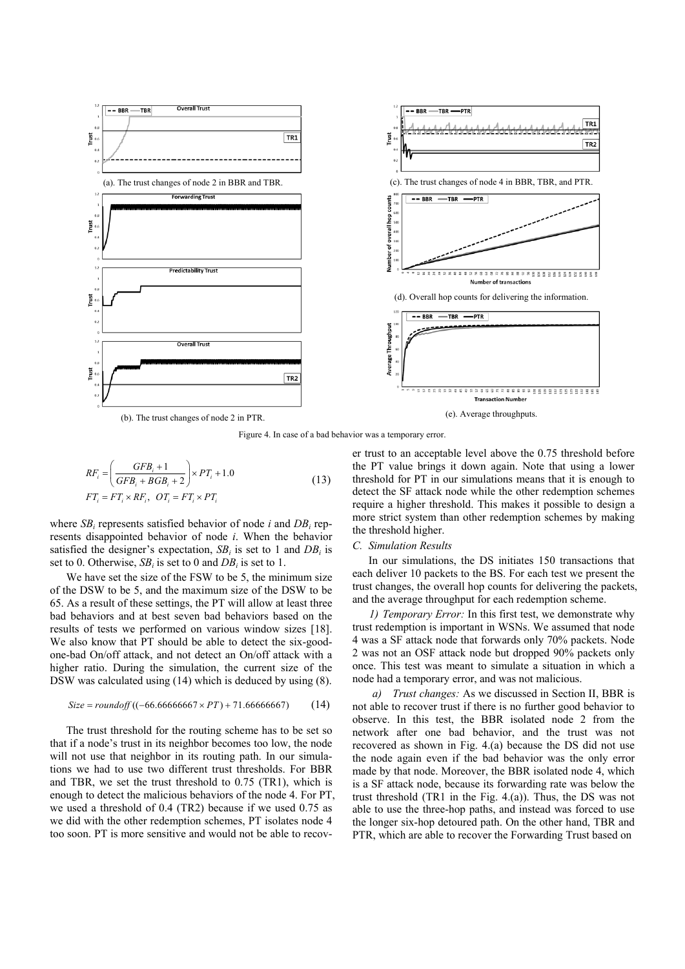

Figure 4. In case of a bad behavior was a temporary error.

$$
RF_i = \left(\frac{GFB_i + 1}{GFB_i + BGB_i + 2}\right) \times PT_i + 1.0
$$
  
\n
$$
FT_i = FT_i \times RF_i, \ \ OT_i = FT_i \times PT_i
$$
\n(13)

where *SB<sub>i</sub>* represents satisfied behavior of node *i* and *DB<sub>i</sub>* represents disappointed behavior of node *i*. When the behavior satisfied the designer's expectation, *SBi* is set to 1 and *DBi* is set to 0. Otherwise, *SBi* is set to 0 and *DBi* is set to 1.

We have set the size of the FSW to be 5, the minimum size of the DSW to be 5, and the maximum size of the DSW to be 65. As a result of these settings, the PT will allow at least three bad behaviors and at best seven bad behaviors based on the results of tests we performed on various window sizes [18]. We also know that PT should be able to detect the six-goodone-bad On/off attack, and not detect an On/off attack with a higher ratio. During the simulation, the current size of the DSW was calculated using (14) which is deduced by using (8).

$$
Size = roundoff((-66.6666667 \times PT) + 71.66666667)
$$
 (14)

The trust threshold for the routing scheme has to be set so that if a node's trust in its neighbor becomes too low, the node will not use that neighbor in its routing path. In our simulations we had to use two different trust thresholds. For BBR and TBR, we set the trust threshold to 0.75 (TR1), which is enough to detect the malicious behaviors of the node 4. For PT, we used a threshold of 0.4 (TR2) because if we used 0.75 as we did with the other redemption schemes, PT isolates node 4 too soon. PT is more sensitive and would not be able to recover trust to an acceptable level above the 0.75 threshold before the PT value brings it down again. Note that using a lower threshold for PT in our simulations means that it is enough to detect the SF attack node while the other redemption schemes require a higher threshold. This makes it possible to design a more strict system than other redemption schemes by making the threshold higher.

#### *C. Simulation Results*

In our simulations, the DS initiates 150 transactions that each deliver 10 packets to the BS. For each test we present the trust changes, the overall hop counts for delivering the packets, and the average throughput for each redemption scheme.

*1) Temporary Error:* In this first test, we demonstrate why trust redemption is important in WSNs. We assumed that node 4 was a SF attack node that forwards only 70% packets. Node 2 was not an OSF attack node but dropped 90% packets only once. This test was meant to simulate a situation in which a node had a temporary error, and was not malicious.

*Trust changes:* As we discussed in Section II, BBR is not able to recover trust if there is no further good behavior to observe. In this test, the BBR isolated node 2 from the network after one bad behavior, and the trust was not recovered as shown in Fig. 4.(a) because the DS did not use the node again even if the bad behavior was the only error made by that node. Moreover, the BBR isolated node 4, which is a SF attack node, because its forwarding rate was below the trust threshold (TR1 in the Fig. 4.(a)). Thus, the DS was not able to use the three-hop paths, and instead was forced to use the longer six-hop detoured path. On the other hand, TBR and PTR, which are able to recover the Forwarding Trust based on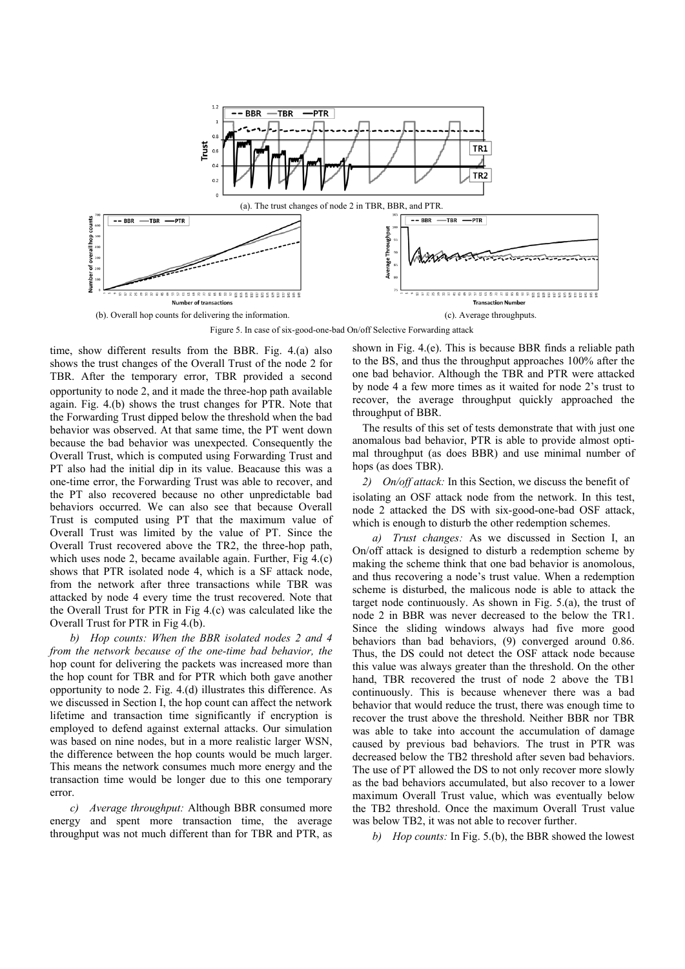

Figure 5. In case of six-good-one-bad On/off Selective Forwarding attack

time, show different results from the BBR. Fig. 4.(a) also shows the trust changes of the Overall Trust of the node 2 for TBR. After the temporary error, TBR provided a second opportunity to node 2, and it made the three-hop path available again. Fig. 4.(b) shows the trust changes for PTR. Note that the Forwarding Trust dipped below the threshold when the bad behavior was observed. At that same time, the PT went down because the bad behavior was unexpected. Consequently the Overall Trust, which is computed using Forwarding Trust and PT also had the initial dip in its value. Beacause this was a one-time error, the Forwarding Trust was able to recover, and the PT also recovered because no other unpredictable bad behaviors occurred. We can also see that because Overall Trust is computed using PT that the maximum value of Overall Trust was limited by the value of PT. Since the Overall Trust recovered above the TR2, the three-hop path, which uses node 2, became available again. Further, Fig 4.(c) shows that PTR isolated node 4, which is a SF attack node, from the network after three transactions while TBR was attacked by node 4 every time the trust recovered. Note that the Overall Trust for PTR in Fig 4.(c) was calculated like the Overall Trust for PTR in Fig 4.(b).

*b) Hop counts: When the BBR isolated nodes 2 and 4 from the network because of the one-time bad behavior, the*  hop count for delivering the packets was increased more than the hop count for TBR and for PTR which both gave another opportunity to node 2. Fig. 4.(d) illustrates this difference. As we discussed in Section I, the hop count can affect the network lifetime and transaction time significantly if encryption is employed to defend against external attacks. Our simulation was based on nine nodes, but in a more realistic larger WSN, the difference between the hop counts would be much larger. This means the network consumes much more energy and the transaction time would be longer due to this one temporary error.

*c) Average throughput:* Although BBR consumed more energy and spent more transaction time, the average throughput was not much different than for TBR and PTR, as

shown in Fig. 4.(e). This is because BBR finds a reliable path to the BS, and thus the throughput approaches 100% after the one bad behavior. Although the TBR and PTR were attacked by node 4 a few more times as it waited for node 2's trust to recover, the average throughput quickly approached the throughput of BBR.

The results of this set of tests demonstrate that with just one anomalous bad behavior, PTR is able to provide almost optimal throughput (as does BBR) and use minimal number of hops (as does TBR).

*2) On/off attack:* In this Section, we discuss the benefit of isolating an OSF attack node from the network. In this test, node 2 attacked the DS with six-good-one-bad OSF attack, which is enough to disturb the other redemption schemes.

*a) Trust changes:* As we discussed in Section I, an On/off attack is designed to disturb a redemption scheme by making the scheme think that one bad behavior is anomolous, and thus recovering a node's trust value. When a redemption scheme is disturbed, the malicous node is able to attack the target node continuously. As shown in Fig. 5.(a), the trust of node 2 in BBR was never decreased to the below the TR1. Since the sliding windows always had five more good behaviors than bad behaviors, (9) converged around 0.86. Thus, the DS could not detect the OSF attack node because this value was always greater than the threshold. On the other hand, TBR recovered the trust of node 2 above the TB1 continuously. This is because whenever there was a bad behavior that would reduce the trust, there was enough time to recover the trust above the threshold. Neither BBR nor TBR was able to take into account the accumulation of damage caused by previous bad behaviors. The trust in PTR was decreased below the TB2 threshold after seven bad behaviors. The use of PT allowed the DS to not only recover more slowly as the bad behaviors accumulated, but also recover to a lower maximum Overall Trust value, which was eventually below the TB2 threshold. Once the maximum Overall Trust value was below TB2, it was not able to recover further.

*b) Hop counts:* In Fig. 5.(b), the BBR showed the lowest